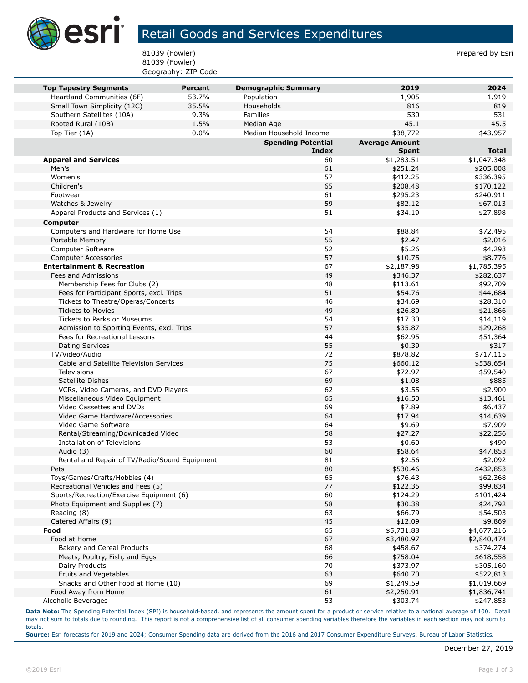

## Retail Goods and Services Expenditures

81039 (Fowler) **Prepared by Estimate 18 and 20** and 20 and 20 and 20 and 20 and 20 and 20 and 20 and 20 and 20 and 20 and 20 and 20 and 20 and 20 and 20 and 20 and 20 and 20 and 20 and 20 and 20 and 20 and 20 and 20 and 20 81039 (Fowler) Geography: ZIP Code

| <b>Top Tapestry Segments</b>                  | <b>Percent</b> | <b>Demographic Summary</b> | 2019                  | 2024         |
|-----------------------------------------------|----------------|----------------------------|-----------------------|--------------|
| Heartland Communities (6F)                    | 53.7%          | Population                 | 1,905                 | 1,919        |
| Small Town Simplicity (12C)                   | 35.5%          | Households                 | 816                   | 819          |
| Southern Satellites (10A)                     | 9.3%           | Families                   | 530                   | 531          |
| Rooted Rural (10B)                            | 1.5%           | Median Age                 | 45.1                  | 45.5         |
| Top Tier (1A)                                 | 0.0%           | Median Household Income    | \$38,772              | \$43,957     |
|                                               |                | <b>Spending Potential</b>  | <b>Average Amount</b> |              |
|                                               |                | <b>Index</b>               | <b>Spent</b>          | <b>Total</b> |
| <b>Apparel and Services</b>                   |                | 60                         | \$1,283.51            | \$1,047,348  |
| Men's                                         |                | 61                         | \$251.24              | \$205,008    |
| Women's                                       |                | 57                         | \$412.25              | \$336,395    |
| Children's                                    |                | 65                         | \$208.48              | \$170,122    |
| Footwear                                      |                | 61                         | \$295.23              | \$240,911    |
| Watches & Jewelry                             |                | 59                         | \$82.12               | \$67,013     |
| Apparel Products and Services (1)             |                | 51                         | \$34.19               | \$27,898     |
| Computer                                      |                |                            |                       |              |
| Computers and Hardware for Home Use           |                | 54                         | \$88.84               | \$72,495     |
| Portable Memory                               |                | 55                         | \$2.47                | \$2,016      |
| Computer Software                             |                | 52                         | \$5.26                | \$4,293      |
| <b>Computer Accessories</b>                   |                | 57                         | \$10.75               | \$8,776      |
| <b>Entertainment &amp; Recreation</b>         |                | 67                         | \$2,187.98            | \$1,785,395  |
| Fees and Admissions                           |                | 49                         | \$346.37              | \$282,637    |
| Membership Fees for Clubs (2)                 |                | 48                         | \$113.61              | \$92,709     |
| Fees for Participant Sports, excl. Trips      |                | 51                         | \$54.76               | \$44,684     |
| Tickets to Theatre/Operas/Concerts            |                | 46                         | \$34.69               | \$28,310     |
| <b>Tickets to Movies</b>                      |                | 49                         | \$26.80               | \$21,866     |
| <b>Tickets to Parks or Museums</b>            |                | 54                         | \$17.30               | \$14,119     |
| Admission to Sporting Events, excl. Trips     |                | 57                         | \$35.87               | \$29,268     |
| Fees for Recreational Lessons                 |                | 44                         | \$62.95               | \$51,364     |
| <b>Dating Services</b>                        |                | 55                         | \$0.39                | \$317        |
| TV/Video/Audio                                |                | 72                         | \$878.82              | \$717,115    |
| Cable and Satellite Television Services       |                | 75                         | \$660.12              | \$538,654    |
| Televisions                                   |                | 67                         | \$72.97               | \$59,540     |
| Satellite Dishes                              |                | 69                         | \$1.08                | \$885        |
| VCRs, Video Cameras, and DVD Players          |                | 62                         | \$3.55                | \$2,900      |
| Miscellaneous Video Equipment                 |                | 65                         | \$16.50               | \$13,461     |
| Video Cassettes and DVDs                      |                | 69                         | \$7.89                | \$6,437      |
| Video Game Hardware/Accessories               |                | 64                         | \$17.94               | \$14,639     |
| Video Game Software                           |                | 64                         | \$9.69                | \$7,909      |
| Rental/Streaming/Downloaded Video             |                | 58                         | \$27.27               | \$22,256     |
| Installation of Televisions                   |                | 53                         | \$0.60                | \$490        |
| Audio (3)                                     |                | 60                         | \$58.64               | \$47,853     |
| Rental and Repair of TV/Radio/Sound Equipment |                | 81                         | \$2.56                | \$2,092      |
| Pets                                          |                | 80                         | \$530.46              | \$432,853    |
| Toys/Games/Crafts/Hobbies (4)                 |                | 65                         | \$76.43               | \$62,368     |
| Recreational Vehicles and Fees (5)            |                | 77                         | \$122.35              | \$99,834     |
| Sports/Recreation/Exercise Equipment (6)      |                | 60                         | \$124.29              | \$101,424    |
| Photo Equipment and Supplies (7)              |                | 58                         | \$30.38               | \$24,792     |
| Reading (8)                                   |                | 63                         | \$66.79               | \$54,503     |
| Catered Affairs (9)                           |                | 45                         | \$12.09               | \$9,869      |
| Food                                          |                | 65                         | \$5,731.88            | \$4,677,216  |
| Food at Home                                  |                | 67                         | \$3,480.97            | \$2,840,474  |
| Bakery and Cereal Products                    |                | 68                         | \$458.67              | \$374,274    |
| Meats, Poultry, Fish, and Eggs                |                | 66                         | \$758.04              | \$618,558    |
| Dairy Products                                |                | 70                         | \$373.97              | \$305,160    |
| Fruits and Vegetables                         |                | 63                         | \$640.70              | \$522,813    |
| Snacks and Other Food at Home (10)            |                | 69                         | \$1,249.59            | \$1,019,669  |
| Food Away from Home                           |                | 61                         | \$2,250.91            | \$1,836,741  |
| Alcoholic Beverages                           |                | 53                         | \$303.74              | \$247,853    |

**Data Note:** The Spending Potential Index (SPI) is household-based, and represents the amount spent for a product or service relative to a national average of 100. Detail may not sum to totals due to rounding. This report is not a comprehensive list of all consumer spending variables therefore the variables in each section may not sum to totals.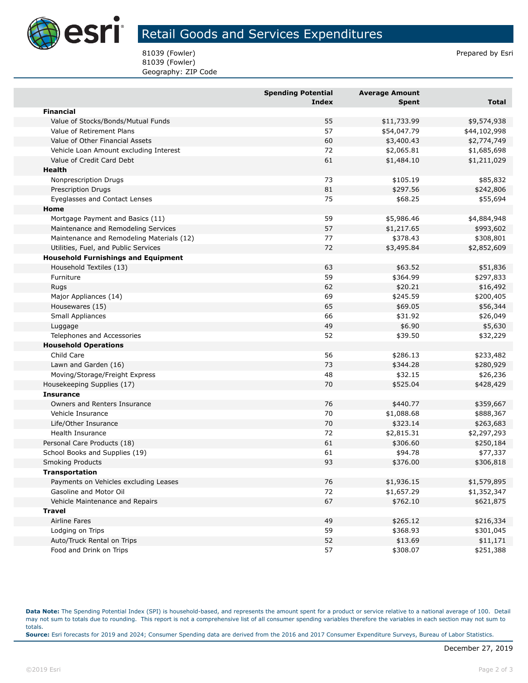

## Retail Goods and Services Expenditures

81039 (Fowler) **Prepared by Estimate 18 and 20** and 20 and 20 and 20 and 20 and 20 and 20 and 20 and 20 and 20 and 20 and 20 and 20 and 20 and 20 and 20 and 20 and 20 and 20 and 20 and 20 and 20 and 20 and 20 and 20 and 20 81039 (Fowler) Geography: ZIP Code

|                                            | <b>Spending Potential</b><br><b>Index</b> | <b>Average Amount</b><br><b>Spent</b> | <b>Total</b> |
|--------------------------------------------|-------------------------------------------|---------------------------------------|--------------|
| <b>Financial</b>                           |                                           |                                       |              |
| Value of Stocks/Bonds/Mutual Funds         | 55                                        | \$11,733.99                           | \$9,574,938  |
| Value of Retirement Plans                  | 57                                        | \$54,047.79                           | \$44,102,998 |
| Value of Other Financial Assets            | 60                                        | \$3,400.43                            | \$2,774,749  |
| Vehicle Loan Amount excluding Interest     | 72                                        | \$2,065.81                            | \$1,685,698  |
| Value of Credit Card Debt                  | 61                                        | \$1,484.10                            | \$1,211,029  |
| Health                                     |                                           |                                       |              |
| Nonprescription Drugs                      | 73                                        | \$105.19                              | \$85,832     |
| Prescription Drugs                         | 81                                        | \$297.56                              | \$242,806    |
| Eyeglasses and Contact Lenses              | 75                                        | \$68.25                               | \$55,694     |
| Home                                       |                                           |                                       |              |
| Mortgage Payment and Basics (11)           | 59                                        | \$5,986.46                            | \$4,884,948  |
| Maintenance and Remodeling Services        | 57                                        | \$1,217.65                            | \$993,602    |
| Maintenance and Remodeling Materials (12)  | 77                                        | \$378.43                              | \$308,801    |
| Utilities, Fuel, and Public Services       | 72                                        | \$3,495.84                            | \$2,852,609  |
| <b>Household Furnishings and Equipment</b> |                                           |                                       |              |
| Household Textiles (13)                    | 63                                        | \$63.52                               | \$51,836     |
| Furniture                                  | 59                                        | \$364.99                              | \$297,833    |
| Rugs                                       | 62                                        | \$20.21                               | \$16,492     |
| Major Appliances (14)                      | 69                                        | \$245.59                              | \$200,405    |
| Housewares (15)                            | 65                                        | \$69.05                               | \$56,344     |
| Small Appliances                           | 66                                        | \$31.92                               | \$26,049     |
| Luggage                                    | 49                                        | \$6.90                                | \$5,630      |
| Telephones and Accessories                 | 52                                        | \$39.50                               | \$32,229     |
| <b>Household Operations</b>                |                                           |                                       |              |
| Child Care                                 | 56                                        | \$286.13                              | \$233,482    |
| Lawn and Garden (16)                       | 73                                        | \$344.28                              | \$280,929    |
| Moving/Storage/Freight Express             | 48                                        | \$32.15                               | \$26,236     |
| Housekeeping Supplies (17)                 | 70                                        | \$525.04                              | \$428,429    |
| <b>Insurance</b>                           |                                           |                                       |              |
| Owners and Renters Insurance               | 76                                        | \$440.77                              | \$359,667    |
| Vehicle Insurance                          | 70                                        | \$1,088.68                            | \$888,367    |
| Life/Other Insurance                       | 70                                        | \$323.14                              | \$263,683    |
| Health Insurance                           | 72                                        | \$2,815.31                            | \$2,297,293  |
| Personal Care Products (18)                | 61                                        | \$306.60                              | \$250,184    |
| School Books and Supplies (19)             | 61                                        | \$94.78                               | \$77,337     |
| Smoking Products                           | 93                                        | \$376.00                              | \$306,818    |
| <b>Transportation</b>                      |                                           |                                       |              |
| Payments on Vehicles excluding Leases      | 76                                        | \$1,936.15                            | \$1,579,895  |
| Gasoline and Motor Oil                     | 72                                        | \$1,657.29                            | \$1,352,347  |
| Vehicle Maintenance and Repairs            | 67                                        | \$762.10                              | \$621,875    |
| <b>Travel</b>                              |                                           |                                       |              |
| Airline Fares                              | 49                                        | \$265.12                              | \$216,334    |
| Lodging on Trips                           | 59                                        | \$368.93                              | \$301,045    |
| Auto/Truck Rental on Trips                 | 52                                        | \$13.69                               | \$11,171     |
| Food and Drink on Trips                    | 57                                        | \$308.07                              | \$251,388    |

**Data Note:** The Spending Potential Index (SPI) is household-based, and represents the amount spent for a product or service relative to a national average of 100. Detail may not sum to totals due to rounding. This report is not a comprehensive list of all consumer spending variables therefore the variables in each section may not sum to totals. **Source:** Esri forecasts for 2019 and 2024; Consumer Spending data are derived from the 2016 and 2017 Consumer Expenditure Surveys, Bureau of Labor Statistics.